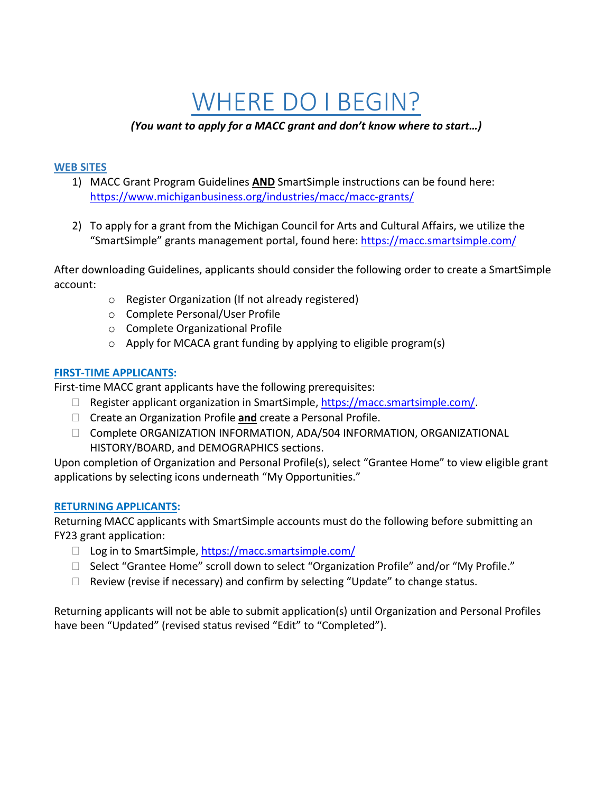# WHERE DO I BEGIN?

# *(You want to apply for a MACC grant and don't know where to start…)*

#### **WEB SITES**

- 1) MACC Grant Program Guidelines **AND** SmartSimple instructions can be found here: <https://www.michiganbusiness.org/industries/macc/macc-grants/>
- 2) To apply for a grant from the Michigan Council for Arts and Cultural Affairs, we utilize the "SmartSimple" grants management portal, found here:<https://macc.smartsimple.com/>

After downloading Guidelines, applicants should consider the following order to create a SmartSimple account:

- o Register Organization (If not already registered)
- o Complete Personal/User Profile
- o Complete Organizational Profile
- $\circ$  Apply for MCACA grant funding by applying to eligible program(s)

### **FIRST-TIME APPLICANTS:**

First-time MACC grant applicants have the following prerequisites:

- $\Box$  Register applicant organization in SmartSimple, [https://macc.smartsimple.com/.](https://macc.smartsimple.com/)
- Create an Organization Profile **and** create a Personal Profile.
- Complete ORGANIZATION INFORMATION, ADA/504 INFORMATION, ORGANIZATIONAL HISTORY/BOARD, and DEMOGRAPHICS sections.

Upon completion of Organization and Personal Profile(s), select "Grantee Home" to view eligible grant applications by selecting icons underneath "My Opportunities."

### **RETURNING APPLICANTS:**

Returning MACC applicants with SmartSimple accounts must do the following before submitting an FY23 grant application:

- $\Box$  Log in to SmartSimple, [https://macc.smartsimple.com/](https://maccsmartsimple.com/)
- $\Box$  Select "Grantee Home" scroll down to select "Organization Profile" and/or "My Profile."
- $\Box$  Review (revise if necessary) and confirm by selecting "Update" to change status.

Returning applicants will not be able to submit application(s) until Organization and Personal Profiles have been "Updated" (revised status revised "Edit" to "Completed").